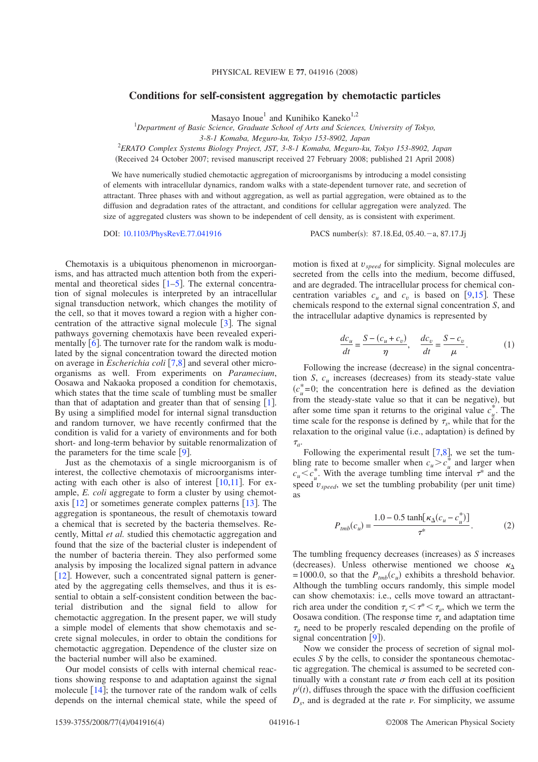## **Conditions for self-consistent aggregation by chemotactic particles**

Masayo Inoue<sup>1</sup> and Kunihiko Kaneko<sup>1,2</sup>

1 *Department of Basic Science, Graduate School of Arts and Sciences, University of Tokyo,*

*3-8-1 Komaba, Meguro-ku, Tokyo 153-8902, Japan*

2 *ERATO Complex Systems Biology Project, JST, 3-8-1 Komaba, Meguro-ku, Tokyo 153-8902, Japan*

(Received 24 October 2007; revised manuscript received 27 February 2008; published 21 April 2008)

We have numerically studied chemotactic aggregation of microorganisms by introducing a model consisting of elements with intracellular dynamics, random walks with a state-dependent turnover rate, and secretion of attractant. Three phases with and without aggregation, as well as partial aggregation, were obtained as to the diffusion and degradation rates of the attractant, and conditions for cellular aggregation were analyzed. The size of aggregated clusters was shown to be independent of cell density, as is consistent with experiment.

DOI: 10.1103/PhysRevE.77.041916 PACS number(s): 87.18.Ed, 05.40. - a, 87.17.Jj

Chemotaxis is a ubiquitous phenomenon in microorganisms, and has attracted much attention both from the experimental and theoretical sides  $\lceil 1-5 \rceil$ . The external concentration of signal molecules is interpreted by an intracellular signal transduction network, which changes the motility of the cell, so that it moves toward a region with a higher concentration of the attractive signal molecule  $\lceil 3 \rceil$ . The signal pathways governing chemotaxis have been revealed experimentally  $[6]$ . The turnover rate for the random walk is modulated by the signal concentration toward the directed motion on average in *Escherichia coli* [7,8] and several other microorganisms as well. From experiments on *Paramecium*, Oosawa and Nakaoka proposed a condition for chemotaxis, which states that the time scale of tumbling must be smaller than that of adaptation and greater than that of sensing  $[1]$ . By using a simplified model for internal signal transduction and random turnover, we have recently confirmed that the condition is valid for a variety of environments and for both short- and long-term behavior by suitable renormalization of the parameters for the time scale  $[9]$ .

Just as the chemotaxis of a single microorganism is of interest, the collective chemotaxis of microorganisms interacting with each other is also of interest  $[10,11]$ . For example, *E. coli* aggregate to form a cluster by using chemotaxis  $\lceil 12 \rceil$  or sometimes generate complex patterns  $\lceil 13 \rceil$ . The aggregation is spontaneous, the result of chemotaxis toward a chemical that is secreted by the bacteria themselves. Recently, Mittal *et al.* studied this chemotactic aggregation and found that the size of the bacterial cluster is independent of the number of bacteria therein. They also performed some analysis by imposing the localized signal pattern in advance  $[12]$ . However, such a concentrated signal pattern is generated by the aggregating cells themselves, and thus it is essential to obtain a self-consistent condition between the bacterial distribution and the signal field to allow for chemotactic aggregation. In the present paper, we will study a simple model of elements that show chemotaxis and secrete signal molecules, in order to obtain the conditions for chemotactic aggregation. Dependence of the cluster size on the bacterial number will also be examined.

Our model consists of cells with internal chemical reactions showing response to and adaptation against the signal molecule  $[14]$ ; the turnover rate of the random walk of cells depends on the internal chemical state, while the speed of motion is fixed at *vspeed* for simplicity. Signal molecules are secreted from the cells into the medium, become diffused, and are degraded. The intracellular process for chemical concentration variables  $c_u$  and  $c_v$  is based on  $[9,15]$ . These chemicals respond to the external signal concentration *S*, and the intracellular adaptive dynamics is represented by

$$
\frac{dc_u}{dt} = \frac{S - (c_u + c_v)}{\eta}, \quad \frac{dc_v}{dt} = \frac{S - c_v}{\mu}.
$$
 (1)

Following the increase (decrease) in the signal concentration *S*,  $c_u$  increases (decreases) from its steady-state value  $(c<sub>u</sub><sup>*</sup>=0;$  the concentration here is defined as the deviation from the steady-state value so that it can be negative), but after some time span it returns to the original value  $c_u^*$ . The time scale for the response is defined by  $\tau_s$ , while that for the relaxation to the original value (i.e., adaptation) is defined by  $\tau_a$ .

Following the experimental result  $[7,8]$ , we set the tumbling rate to become smaller when  $c_u > c_u^*$  and larger when  $c_u \leq c_u^*$ . With the average tumbling time interval  $\tau^*$  and the speed  $v_{speed}$ , we set the tumbling probability (per unit time) as

$$
P_{\text{tmb}}(c_u) = \frac{1.0 - 0.5 \tanh[\kappa_\Delta (c_u - c_u^*)]}{\tau^*}.
$$
 (2)

The tumbling frequency decreases (increases) as *S* increases (decreases). Unless otherwise mentioned we choose  $\kappa_{\Delta}$ =1000.0, so that the  $P_{\text{trib}}(c_u)$  exhibits a threshold behavior. Although the tumbling occurs randomly, this simple model can show chemotaxis: i.e., cells move toward an attractantrich area under the condition  $\tau_s < \tau^* < \tau_a$ , which we term the Oosawa condition. (The response time  $\tau_s$  and adaptation time  $\tau_a$  need to be properly rescaled depending on the profile of signal concentration  $[9]$ ).

Now we consider the process of secretion of signal molecules *S* by the cells, to consider the spontaneous chemotactic aggregation. The chemical is assumed to be secreted continually with a constant rate  $\sigma$  from each cell at its position  $p^i(t)$ , diffuses through the space with the diffusion coefficient  $D<sub>s</sub>$ , and is degraded at the rate  $\nu$ . For simplicity, we assume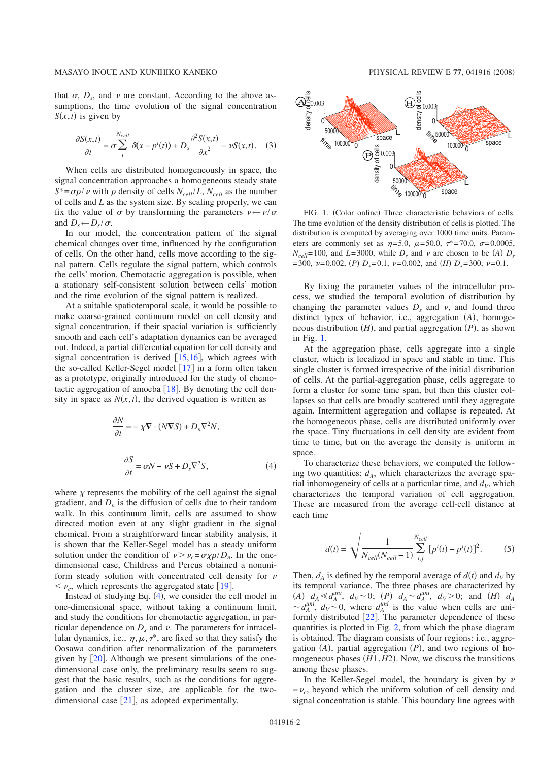that  $\sigma$ ,  $D<sub>s</sub>$ , and  $\nu$  are constant. According to the above assumptions, the time evolution of the signal concentration  $S(x,t)$  is given by

$$
\frac{\partial S(x,t)}{\partial t} = \sigma \sum_{i}^{N_{cell}} \delta(x - p^i(t)) + D_s \frac{\partial^2 S(x,t)}{\partial x^2} - \nu S(x,t). \quad (3)
$$

When cells are distributed homogeneously in space, the signal concentration approaches a homogeneous steady state  $S^* = \sigma \rho / \nu$  with  $\rho$  density of cells  $N_{cell}/L$ ,  $N_{cell}$  as the number of cells and *L* as the system size. By scaling properly, we can fix the value of  $\sigma$  by transforming the parameters  $v \leftarrow v/\sigma$ and  $D_s \leftarrow D_s / \sigma$ .

In our model, the concentration pattern of the signal chemical changes over time, influenced by the configuration of cells. On the other hand, cells move according to the signal pattern. Cells regulate the signal pattern, which controls the cells' motion. Chemotactic aggregation is possible, when a stationary self-consistent solution between cells' motion and the time evolution of the signal pattern is realized.

At a suitable spatiotemporal scale, it would be possible to make coarse-grained continuum model on cell density and signal concentration, if their spacial variation is sufficiently smooth and each cell's adaptation dynamics can be averaged out. Indeed, a partial differential equation for cell density and signal concentration is derived  $[15,16]$ , which agrees with the so-called Keller-Segel model  $[17]$  in a form often taken as a prototype, originally introduced for the study of chemotactic aggregation of amoeba  $[18]$ . By denoting the cell density in space as  $N(x, t)$ , the derived equation is written as

$$
\frac{\partial N}{\partial t} = -\chi \nabla \cdot (N \nabla S) + D_n \nabla^2 N,
$$
  

$$
\frac{\partial S}{\partial t} = \sigma N - \nu S + D_s \nabla^2 S,
$$
 (4)

where  $\gamma$  represents the mobility of the cell against the signal gradient, and  $D_n$  is the diffusion of cells due to their random walk. In this continuum limit, cells are assumed to show directed motion even at any slight gradient in the signal chemical. From a straightforward linear stability analysis, it is shown that the Keller-Segel model has a steady uniform solution under the condition of  $\nu > \nu_c = \frac{\sigma \chi \rho}{D_n}$ . In the onedimensional case, Childress and Percus obtained a nonuniform steady solution with concentrated cell density for  $\nu$  $\langle \nu_{c}, \nu_{c} \rangle$  which represents the aggregated state  $[19]$ .

Instead of studying Eq.  $(4)$ , we consider the cell model in one-dimensional space, without taking a continuum limit, and study the conditions for chemotactic aggregation, in particular dependence on  $D_s$  and  $\nu$ . The parameters for intracellular dynamics, i.e.,  $\eta, \mu, \tau^*$ , are fixed so that they satisfy the Oosawa condition after renormalization of the parameters given by  $[20]$ . Although we present simulations of the onedimensional case only, the preliminary results seem to suggest that the basic results, such as the conditions for aggregation and the cluster size, are applicable for the twodimensional case  $[21]$ , as adopted experimentally.



FIG. 1. (Color online) Three characteristic behaviors of cells. The time evolution of the density distribution of cells is plotted. The distribution is computed by averaging over 1000 time units. Parameters are commonly set as  $\eta = 5.0$ ,  $\mu = 50.0$ ,  $\tau^* = 70.0$ ,  $\sigma = 0.0005$ ,  $N_{cell}$ =100, and *L*=3000, while  $D_s$  and  $\nu$  are chosen to be *(A)*  $D_s$ =300,  $\nu$ =0.002, (*P*)  $D_s$ =0.1,  $\nu$ =0.002, and (*H*)  $D_s$ =300,  $\nu$ =0.1.

By fixing the parameter values of the intracellular process, we studied the temporal evolution of distribution by changing the parameter values  $D<sub>s</sub>$  and  $\nu$ , and found three distinct types of behavior, i.e., aggregation (*A*), homogeneous distribution  $(H)$ , and partial aggregation  $(P)$ , as shown in Fig. 1.

At the aggregation phase, cells aggregate into a single cluster, which is localized in space and stable in time. This single cluster is formed irrespective of the initial distribution of cells. At the partial-aggregation phase, cells aggregate to form a cluster for some time span, but then this cluster collapses so that cells are broadly scattered until they aggregate again. Intermittent aggregation and collapse is repeated. At the homogeneous phase, cells are distributed uniformly over the space. Tiny fluctuations in cell density are evident from time to time, but on the average the density is uniform in space.

To characterize these behaviors, we computed the following two quantities:  $d_A$ , which characterizes the average spatial inhomogeneity of cells at a particular time, and  $d<sub>V</sub>$ , which characterizes the temporal variation of cell aggregation. These are measured from the average cell-cell distance at each time

$$
d(t) = \sqrt{\frac{1}{N_{cell}(N_{cell} - 1)} \sum_{i,j}^{N_{cell}} [p^{i}(t) - p^{j}(t)]^{2}}.
$$
 (5)

Then,  $d_A$  is defined by the temporal average of  $d(t)$  and  $d_V$  by its temporal variance. The three phases are characterized by  $(A)$   $d_A \ll d_A^{uni}$ ,  $d_V \sim 0$ ;  $(P)$   $d_A \sim d_A^{uni}$ ,  $d_V > 0$ ; and  $(H)$   $d_A$  $\sim d_A^{uni}$ ,  $d_V \sim 0$ , where  $d_A^{uni}$  is the value when cells are uniformly distributed  $[22]$ . The parameter dependence of these quantities is plotted in Fig. 2, from which the phase diagram is obtained. The diagram consists of four regions: i.e., aggregation  $(A)$ , partial aggregation  $(P)$ , and two regions of homogeneous phases  $(H1, H2)$ . Now, we discuss the transitions among these phases.

In the Keller-Segel model, the boundary is given by  $\nu$  $=v_c$ , beyond which the uniform solution of cell density and signal concentration is stable. This boundary line agrees with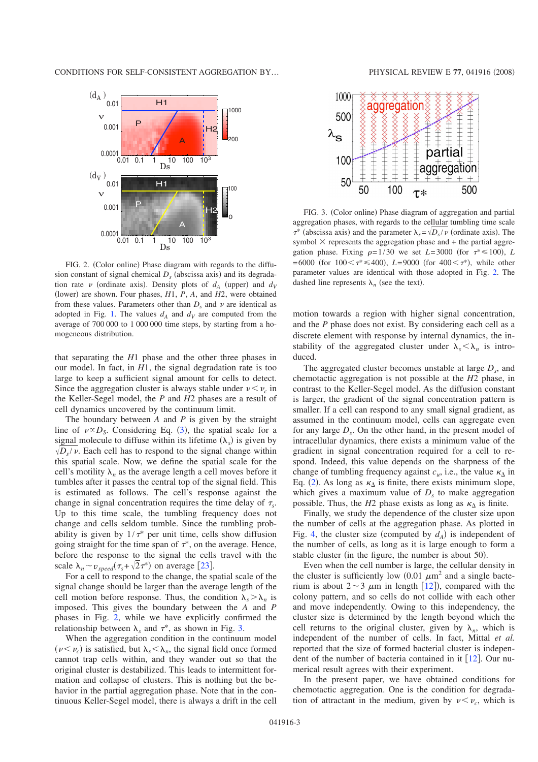

FIG. 2. (Color online) Phase diagram with regards to the diffusion constant of signal chemical  $D<sub>s</sub>$  (abscissa axis) and its degradation rate  $\nu$  (ordinate axis). Density plots of  $d_A$  (upper) and  $d_V$ (lower) are shown. Four phases,  $H1$ ,  $P$ ,  $A$ , and  $H2$ , were obtained from these values. Parameters other than  $D<sub>s</sub>$  and  $\nu$  are identical as adopted in Fig. 1. The values  $d_A$  and  $d_V$  are computed from the average of 700 000 to 1 000 000 time steps, by starting from a homogeneous distribution.

that separating the *H*1 phase and the other three phases in our model. In fact, in *H*1, the signal degradation rate is too large to keep a sufficient signal amount for cells to detect. Since the aggregation cluster is always stable under  $v < v_c$  in the Keller-Segel model, the *P* and *H*2 phases are a result of cell dynamics uncovered by the continuum limit.

The boundary between *A* and *P* is given by the straight line of  $\nu \propto D_s$ . Considering Eq. (3), the spatial scale for a signal molecule to diffuse within its lifetime  $(\lambda_s)$  is given by  $\sqrt{D_s/\nu}$ . Each cell has to respond to the signal change within this spatial scale. Now, we define the spatial scale for the cell's motility  $\lambda_n$  as the average length a cell moves before it tumbles after it passes the central top of the signal field. This is estimated as follows. The cell's response against the change in signal concentration requires the time delay of  $\tau_{s}$ . Up to this time scale, the tumbling frequency does not change and cells seldom tumble. Since the tumbling probability is given by  $1/\tau^*$  per unit time, cells show diffusion going straight for the time span of  $\tau^*$ , on the average. Hence, before the response to the signal the cells travel with the scale  $\lambda_n \sim v_{speed}(\tau_s + \sqrt{2}\tau^*)$  on average [23].

For a cell to respond to the change, the spatial scale of the signal change should be larger than the average length of the cell motion before response. Thus, the condition  $\lambda_s > \lambda_n$  is imposed. This gives the boundary between the *A* and *P* phases in Fig. 2, while we have explicitly confirmed the relationship between  $\lambda_s$  and  $\tau^*$ , as shown in Fig. 3.

When the aggregation condition in the continuum model  $(\nu < \nu_c)$  is satisfied, but  $\lambda_s < \lambda_n$ , the signal field once formed cannot trap cells within, and they wander out so that the original cluster is destabilized. This leads to intermittent formation and collapse of clusters. This is nothing but the behavior in the partial aggregation phase. Note that in the continuous Keller-Segel model, there is always a drift in the cell



FIG. 3. (Color online) Phase diagram of aggregation and partial aggregation phases, with regards to the cellular tumbling time scale  $\tau^*$  (abscissa axis) and the parameter  $\lambda_s = \sqrt{D_s/v}$  (ordinate axis). The symbol  $\times$  represents the aggregation phase and + the partial aggregation phase. Fixing  $\rho=1/30$  we set  $L=3000$  (for  $\tau^* \le 100$ ), *L*  $=6000$  (for  $100 < \tau^* \le 400$ ),  $L=9000$  (for  $400 < \tau^*$ ), while other parameter values are identical with those adopted in Fig. 2. The dashed line represents  $\lambda_n$  (see the text).

motion towards a region with higher signal concentration, and the *P* phase does not exist. By considering each cell as a discrete element with response by internal dynamics, the instability of the aggregated cluster under  $\lambda_s < \lambda_n$  is introduced.

The aggregated cluster becomes unstable at large  $D_s$ , and chemotactic aggregation is not possible at the *H*2 phase, in contrast to the Keller-Segel model. As the diffusion constant is larger, the gradient of the signal concentration pattern is smaller. If a cell can respond to any small signal gradient, as assumed in the continuum model, cells can aggregate even for any large  $D<sub>s</sub>$ . On the other hand, in the present model of intracellular dynamics, there exists a minimum value of the gradient in signal concentration required for a cell to respond. Indeed, this value depends on the sharpness of the change of tumbling frequency against  $c_u$ , i.e., the value  $\kappa_{\Delta}$  in Eq. (2). As long as  $\kappa_{\Delta}$  is finite, there exists minimum slope, which gives a maximum value of  $D<sub>s</sub>$  to make aggregation possible. Thus, the  $H2$  phase exists as long as  $\kappa_A$  is finite.

Finally, we study the dependence of the cluster size upon the number of cells at the aggregation phase. As plotted in Fig. 4, the cluster size (computed by  $d_A$ ) is independent of the number of cells, as long as it is large enough to form a stable cluster (in the figure, the number is about 50).

Even when the cell number is large, the cellular density in the cluster is sufficiently low  $(0.01 \ \mu m^2)$  and a single bacterium is about  $2 \sim 3 \mu m$  in length [12]), compared with the colony pattern, and so cells do not collide with each other and move independently. Owing to this independency, the cluster size is determined by the length beyond which the cell returns to the original cluster, given by  $\lambda_n$ , which is independent of the number of cells. In fact, Mittal *et al.* reported that the size of formed bacterial cluster is independent of the number of bacteria contained in it  $[12]$ . Our numerical result agrees with their experiment.

In the present paper, we have obtained conditions for chemotactic aggregation. One is the condition for degradation of attractant in the medium, given by  $\nu \leq \nu_c$ , which is